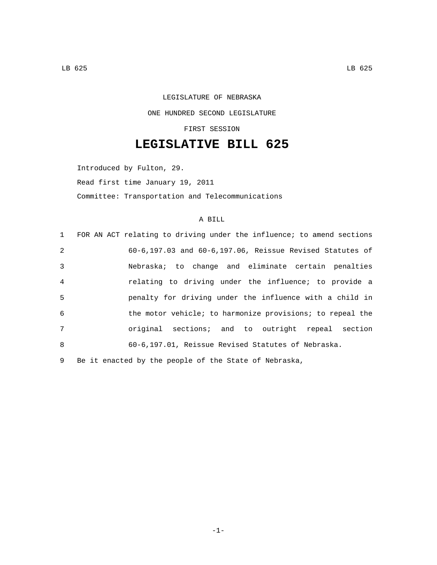## LEGISLATURE OF NEBRASKA ONE HUNDRED SECOND LEGISLATURE FIRST SESSION

## **LEGISLATIVE BILL 625**

Introduced by Fulton, 29. Read first time January 19, 2011 Committee: Transportation and Telecommunications

## A BILL

|                | 1 FOR AN ACT relating to driving under the influence; to amend sections |
|----------------|-------------------------------------------------------------------------|
| 2              | $60-6, 197.03$ and $60-6, 197.06$ , Reissue Revised Statutes of         |
| 3              | Nebraska; to change and eliminate certain penalties                     |
| $\overline{4}$ | relating to driving under the influence; to provide a                   |
| 5              | penalty for driving under the influence with a child in                 |
| -6             | the motor vehicle; to harmonize provisions; to repeal the               |
| 7              | original sections; and to outright repeal section                       |
| $\mathsf{R}$   | 60-6,197.01, Reissue Revised Statutes of Nebraska.                      |
|                |                                                                         |

9 Be it enacted by the people of the State of Nebraska,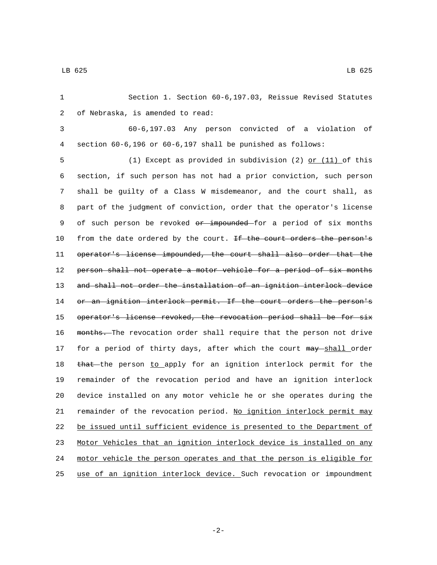1 Section 1. Section 60-6,197.03, Reissue Revised Statutes 2 of Nebraska, is amended to read:

3 60-6,197.03 Any person convicted of a violation of 4 section 60-6,196 or 60-6,197 shall be punished as follows:

5 (1) Except as provided in subdivision (2) or (11) of this 6 section, if such person has not had a prior conviction, such person 7 shall be guilty of a Class W misdemeanor, and the court shall, as 8 part of the judgment of conviction, order that the operator's license 9 of such person be revoked or impounded for a period of six months 10 from the date ordered by the court. If the court orders the person's 11 operator's license impounded, the court shall also order that the 12 person shall not operate a motor vehicle for a period of six months 13 and shall not order the installation of an ignition interlock device 14 or an ignition interlock permit. If the court orders the person's 15 operator's license revoked, the revocation period shall be for six 16 months. The revocation order shall require that the person not drive 17 for a period of thirty days, after which the court may shall order 18 that the person to apply for an ignition interlock permit for the 19 remainder of the revocation period and have an ignition interlock 20 device installed on any motor vehicle he or she operates during the 21 remainder of the revocation period. No ignition interlock permit may 22 be issued until sufficient evidence is presented to the Department of 23 Motor Vehicles that an ignition interlock device is installed on any 24 motor vehicle the person operates and that the person is eligible for 25 use of an ignition interlock device. Such revocation or impoundment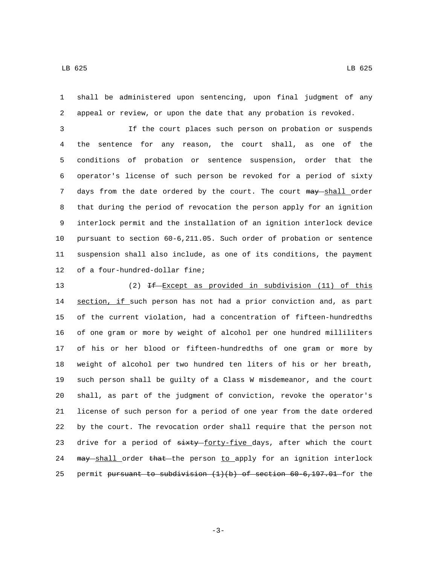shall be administered upon sentencing, upon final judgment of any appeal or review, or upon the date that any probation is revoked.

 If the court places such person on probation or suspends the sentence for any reason, the court shall, as one of the conditions of probation or sentence suspension, order that the operator's license of such person be revoked for a period of sixty 7 days from the date ordered by the court. The court may shall order that during the period of revocation the person apply for an ignition interlock permit and the installation of an ignition interlock device pursuant to section 60-6,211.05. Such order of probation or sentence suspension shall also include, as one of its conditions, the payment 12 of a four-hundred-dollar fine;

13 (2) If Except as provided in subdivision (11) of this 14 section, if such person has not had a prior conviction and, as part of the current violation, had a concentration of fifteen-hundredths of one gram or more by weight of alcohol per one hundred milliliters of his or her blood or fifteen-hundredths of one gram or more by weight of alcohol per two hundred ten liters of his or her breath, such person shall be guilty of a Class W misdemeanor, and the court shall, as part of the judgment of conviction, revoke the operator's license of such person for a period of one year from the date ordered by the court. The revocation order shall require that the person not 23 drive for a period of sixty-forty-five days, after which the court 24 may shall order that the person to apply for an ignition interlock 25 permit pursuant to subdivision  $(1)(b)$  of section  $60-6,197.01$  for the

-3-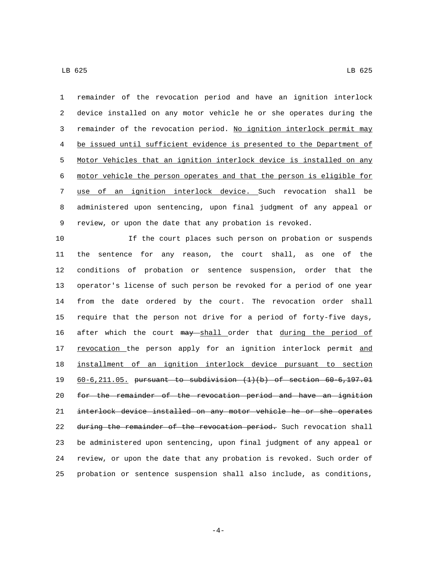LB 625 LB 625

 remainder of the revocation period and have an ignition interlock device installed on any motor vehicle he or she operates during the 3 remainder of the revocation period. No ignition interlock permit may be issued until sufficient evidence is presented to the Department of Motor Vehicles that an ignition interlock device is installed on any motor vehicle the person operates and that the person is eligible for use of an ignition interlock device. Such revocation shall be administered upon sentencing, upon final judgment of any appeal or review, or upon the date that any probation is revoked.

 If the court places such person on probation or suspends the sentence for any reason, the court shall, as one of the conditions of probation or sentence suspension, order that the operator's license of such person be revoked for a period of one year from the date ordered by the court. The revocation order shall require that the person not drive for a period of forty-five days, 16 after which the court may shall order that during the period of 17 revocation the person apply for an ignition interlock permit and installment of an ignition interlock device pursuant to section 60-6,211.05. pursuant to subdivision (1)(b) of section 60-6,197.01 for the remainder of the revocation period and have an ignition interlock device installed on any motor vehicle he or she operates 22 during the remainder of the revocation period. Such revocation shall be administered upon sentencing, upon final judgment of any appeal or review, or upon the date that any probation is revoked. Such order of probation or sentence suspension shall also include, as conditions,

-4-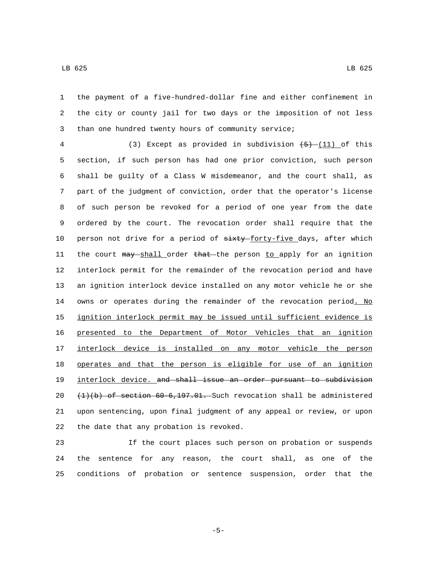the payment of a five-hundred-dollar fine and either confinement in the city or county jail for two days or the imposition of not less than one hundred twenty hours of community service;

4 (3) Except as provided in subdivision  $(5)$  (11) of this section, if such person has had one prior conviction, such person shall be guilty of a Class W misdemeanor, and the court shall, as part of the judgment of conviction, order that the operator's license of such person be revoked for a period of one year from the date ordered by the court. The revocation order shall require that the 10 person not drive for a period of  $\frac{1}{x+y}$  forty-five days, after which 11 the court may shall order that the person to apply for an ignition interlock permit for the remainder of the revocation period and have an ignition interlock device installed on any motor vehicle he or she 14 owns or operates during the remainder of the revocation period. No ignition interlock permit may be issued until sufficient evidence is presented to the Department of Motor Vehicles that an ignition interlock device is installed on any motor vehicle the person operates and that the person is eligible for use of an ignition 19 interlock device. and shall issue an order pursuant to subdivision  $(1)(b)$  of section 60-6,197.01. Such revocation shall be administered upon sentencing, upon final judgment of any appeal or review, or upon 22 the date that any probation is revoked.

 If the court places such person on probation or suspends the sentence for any reason, the court shall, as one of the conditions of probation or sentence suspension, order that the

-5-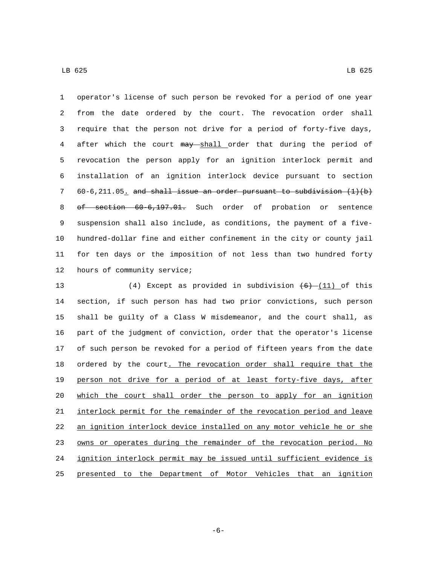operator's license of such person be revoked for a period of one year from the date ordered by the court. The revocation order shall require that the person not drive for a period of forty-five days, 4 after which the court may shall order that during the period of revocation the person apply for an ignition interlock permit and installation of an ignition interlock device pursuant to section 60-6,211.05. and shall issue an order pursuant to subdivision  $(1)(b)$ 8 of section 60-6,197.01. Such order of probation or sentence suspension shall also include, as conditions, the payment of a five- hundred-dollar fine and either confinement in the city or county jail for ten days or the imposition of not less than two hundred forty 12 hours of community service;

13 (4) Except as provided in subdivision  $(6)$  (11) of this section, if such person has had two prior convictions, such person shall be guilty of a Class W misdemeanor, and the court shall, as part of the judgment of conviction, order that the operator's license of such person be revoked for a period of fifteen years from the date 18 ordered by the court. The revocation order shall require that the person not drive for a period of at least forty-five days, after which the court shall order the person to apply for an ignition interlock permit for the remainder of the revocation period and leave an ignition interlock device installed on any motor vehicle he or she 23 owns or operates during the remainder of the revocation period. No ignition interlock permit may be issued until sufficient evidence is presented to the Department of Motor Vehicles that an ignition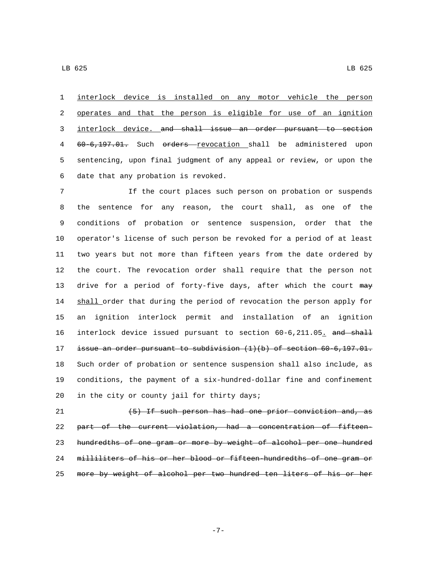interlock device is installed on any motor vehicle the person operates and that the person is eligible for use of an ignition interlock device. and shall issue an order pursuant to section 60-6,197.01. Such orders revocation shall be administered upon sentencing, upon final judgment of any appeal or review, or upon the 6 date that any probation is revoked.

 If the court places such person on probation or suspends the sentence for any reason, the court shall, as one of the conditions of probation or sentence suspension, order that the operator's license of such person be revoked for a period of at least two years but not more than fifteen years from the date ordered by the court. The revocation order shall require that the person not 13 drive for a period of forty-five days, after which the court may 14 shall order that during the period of revocation the person apply for an ignition interlock permit and installation of an ignition 16 interlock device issued pursuant to section 60-6,211.05. and shall issue an order pursuant to subdivision (1)(b) of section 60-6,197.01. Such order of probation or sentence suspension shall also include, as conditions, the payment of a six-hundred-dollar fine and confinement 20 in the city or county jail for thirty days;

 (5) If such person has had one prior conviction and, as part of the current violation, had a concentration of fifteen- hundredths of one gram or more by weight of alcohol per one hundred milliliters of his or her blood or fifteen-hundredths of one gram or more by weight of alcohol per two hundred ten liters of his or her

-7-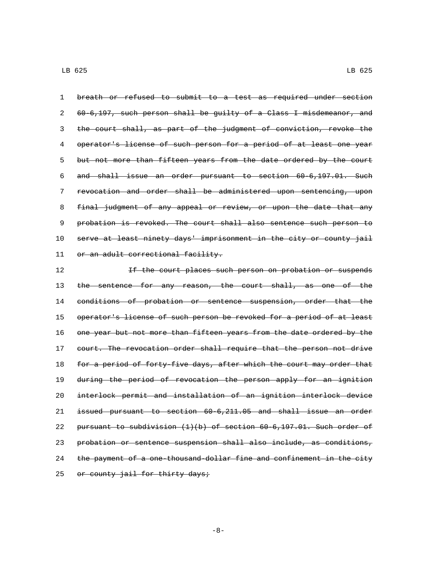1 breath or refused to submit to a test as required under section 2 60-6,197, such person shall be guilty of a Class I misdemeanor, and 3 the court shall, as part of the judgment of conviction, revoke the 4 operator's license of such person for a period of at least one year 5 but not more than fifteen years from the date ordered by the court 6 and shall issue an order pursuant to section 60-6,197.01. Such 7 revocation and order shall be administered upon sentencing, upon 8 final judgment of any appeal or review, or upon the date that any 9 probation is revoked. The court shall also sentence such person to 10 serve at least ninety days' imprisonment in the city or county jail 11 or an adult correctional facility.

12 12 **If the court places such person on probation or suspends** 13 the sentence for any reason, the court shall, as one of the 14 conditions of probation or sentence suspension, order that the 15 operator's license of such person be revoked for a period of at least 16 one year but not more than fifteen years from the date ordered by the 17 court. The revocation order shall require that the person not drive 18 for a period of forty-five days, after which the court may order that 19 during the period of revocation the person apply for an ignition 20 interlock permit and installation of an ignition interlock device 21 issued pursuant to section 60-6,211.05 and shall issue an order 22 pursuant to subdivision  $(1)(b)$  of section  $60-6, 197.01$ . Such order of 23 probation or sentence suspension shall also include, as conditions, 24 the payment of a one-thousand-dollar fine and confinement in the city 25 or county jail for thirty days;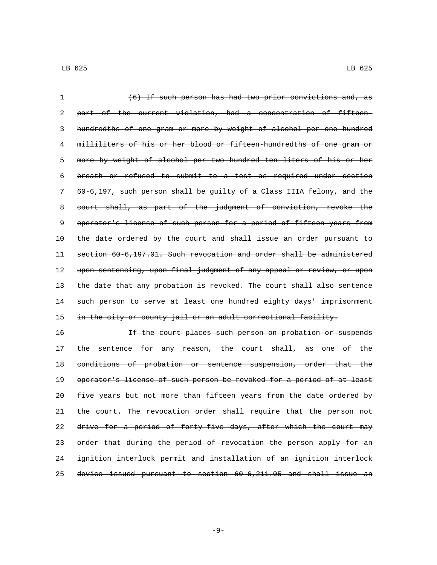| 1  | (6) If such person has had two prior convictions and, as              |
|----|-----------------------------------------------------------------------|
| 2  | part of the current violation, had a concentration of fifteen-        |
| 3  | hundredths of one gram or more by weight of alcohol per one hundred   |
| 4  | milliliters of his or her blood or fifteen-hundredths of one gram or  |
| 5  | more by weight of alcohol per two hundred ten liters of his or her    |
| 6  | breath or refused to submit to a test as required under section       |
| 7  | 60-6,197, such person shall be guilty of a Class IIIA felony, and the |
| 8  | court shall, as part of the judgment of conviction, revoke the        |
| 9  | operator's license of such person for a period of fifteen years from  |
| 10 | the date ordered by the court and shall issue an order pursuant to    |
| 11 | section 60-6,197.01. Such revocation and order shall be administered  |
| 12 | upon sentencing, upon final judgment of any appeal or review, or upon |
| 13 | the date that any probation is revoked. The court shall also sentence |
| 14 | such person to serve at least one hundred eighty days' imprisonment   |
| 15 | in the city or county jail or an adult correctional facility.         |
| 16 | If the court places such person on probation or suspends              |
| 17 | the sentence for any reason, the court shall, as one of the           |
| 18 | conditions of probation or sentence suspension, order that the        |
| 19 | operator's license of such person be revoked for a period of at least |
| 20 | five years but not more than fifteen years from the date ordered by   |
| 21 | the court. The revocation order shall require that the person not     |
| 22 | drive for a period of forty-five days, after which the court may      |
| 23 | order that during the period of revocation the person apply for an    |
| 24 | ignition interlock permit and installation of an ignition interlock   |

device issued pursuant to section 60-6,211.05 and shall issue an

-9-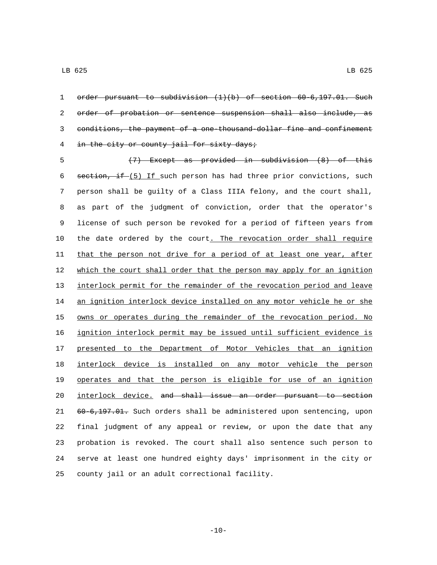1 order pursuant to subdivision (1)(b) of section 60-6,197.01. Such order of probation or sentence suspension shall also include, as conditions, the payment of a one-thousand-dollar fine and confinement 4 in the city or county jail for sixty days;

 (7) Except as provided in subdivision (8) of this 6 section, if  $(5)$  If such person has had three prior convictions, such person shall be guilty of a Class IIIA felony, and the court shall, as part of the judgment of conviction, order that the operator's license of such person be revoked for a period of fifteen years from 10 the date ordered by the court. The revocation order shall require 11 that the person not drive for a period of at least one year, after which the court shall order that the person may apply for an ignition interlock permit for the remainder of the revocation period and leave 14 an ignition interlock device installed on any motor vehicle he or she 15 owns or operates during the remainder of the revocation period. No ignition interlock permit may be issued until sufficient evidence is presented to the Department of Motor Vehicles that an ignition interlock device is installed on any motor vehicle the person operates and that the person is eligible for use of an ignition interlock device. and shall issue an order pursuant to section 60-6,197.01. Such orders shall be administered upon sentencing, upon final judgment of any appeal or review, or upon the date that any probation is revoked. The court shall also sentence such person to serve at least one hundred eighty days' imprisonment in the city or 25 county jail or an adult correctional facility.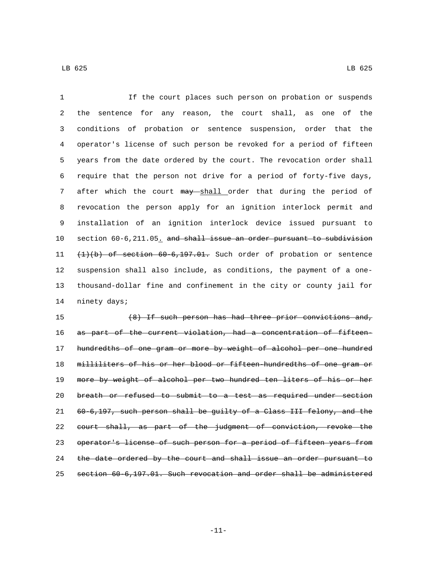If the court places such person on probation or suspends the sentence for any reason, the court shall, as one of the conditions of probation or sentence suspension, order that the operator's license of such person be revoked for a period of fifteen years from the date ordered by the court. The revocation order shall require that the person not drive for a period of forty-five days, 7 after which the court may shall order that during the period of revocation the person apply for an ignition interlock permit and installation of an ignition interlock device issued pursuant to 10 section 60-6,211.05. and shall issue an order pursuant to subdivision (1)(b) of section 60-6,197.01. Such order of probation or sentence suspension shall also include, as conditions, the payment of a one- thousand-dollar fine and confinement in the city or county jail for 14 ninety days;

 (8) If such person has had three prior convictions and, as part of the current violation, had a concentration of fifteen- hundredths of one gram or more by weight of alcohol per one hundred milliliters of his or her blood or fifteen-hundredths of one gram or 19 more by weight of alcohol per two hundred ten liters of his or her breath or refused to submit to a test as required under section 60-6,197, such person shall be guilty of a Class III felony, and the court shall, as part of the judgment of conviction, revoke the operator's license of such person for a period of fifteen years from 24 the date ordered by the court and shall issue an order pursuant to section 60-6,197.01. Such revocation and order shall be administered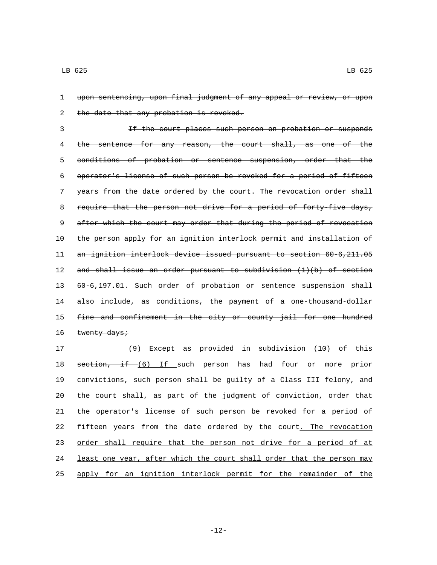1 upon sentencing, upon final judgment of any appeal or review, or upon 2 the date that any probation is revoked.

 If the court places such person on probation or suspends 4 the sentence for any reason, the court shall, as one of the conditions of probation or sentence suspension, order that the operator's license of such person be revoked for a period of fifteen years from the date ordered by the court. The revocation order shall 8 require that the person not drive for a period of forty-five days, 9 after which the court may order that during the period of revocation the person apply for an ignition interlock permit and installation of an ignition interlock device issued pursuant to section 60-6,211.05 and shall issue an order pursuant to subdivision (1)(b) of section 60-6,197.01. Such order of probation or sentence suspension shall 14 also include, as conditions, the payment of a one-thousand-dollar 15 fine and confinement in the city or county jail for one hundred  $t$ wenty days;

 (9) Except as provided in subdivision (10) of this 18 section, if (6) If such person has had four or more prior convictions, such person shall be guilty of a Class III felony, and the court shall, as part of the judgment of conviction, order that the operator's license of such person be revoked for a period of fifteen years from the date ordered by the court. The revocation 23 order shall require that the person not drive for a period of at least one year, after which the court shall order that the person may apply for an ignition interlock permit for the remainder of the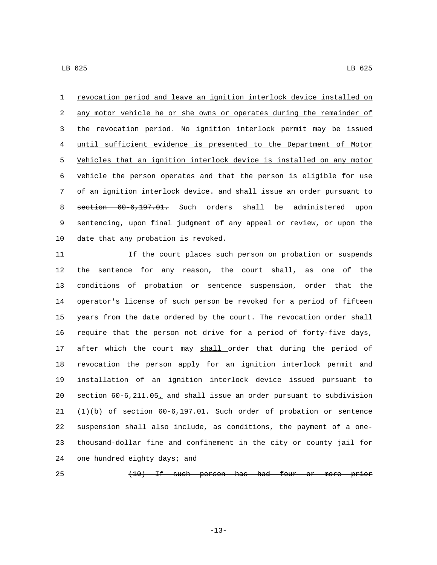revocation period and leave an ignition interlock device installed on 2 any motor vehicle he or she owns or operates during the remainder of the revocation period. No ignition interlock permit may be issued until sufficient evidence is presented to the Department of Motor Vehicles that an ignition interlock device is installed on any motor vehicle the person operates and that the person is eligible for use of an ignition interlock device. and shall issue an order pursuant to section 60-6,197.01. Such orders shall be administered upon sentencing, upon final judgment of any appeal or review, or upon the 10 date that any probation is revoked.

 If the court places such person on probation or suspends the sentence for any reason, the court shall, as one of the conditions of probation or sentence suspension, order that the operator's license of such person be revoked for a period of fifteen years from the date ordered by the court. The revocation order shall require that the person not drive for a period of forty-five days, 17 after which the court may shall order that during the period of revocation the person apply for an ignition interlock permit and installation of an ignition interlock device issued pursuant to 20 section 60-6,211.05. and shall issue an order pursuant to subdivision (1)(b) of section 60-6,197.01. Such order of probation or sentence suspension shall also include, as conditions, the payment of a one- thousand-dollar fine and confinement in the city or county jail for 24 one hundred eighty days; and

(10) If such person has had four or more prior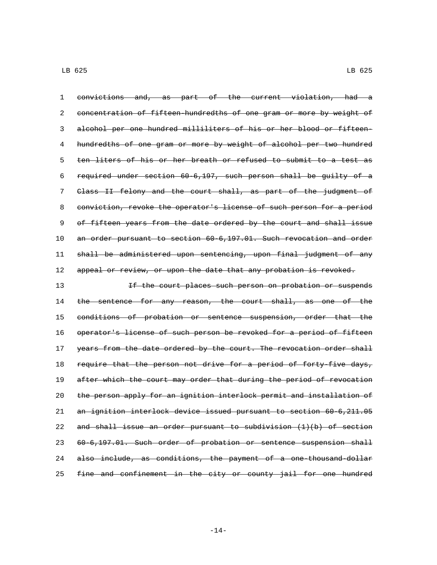convictions and, as part of the current violation, had a concentration of fifteen-hundredths of one gram or more by weight of alcohol per one hundred milliliters of his or her blood or fifteen-4 hundredths of one gram or more by weight of alcohol per two hundred ten liters of his or her breath or refused to submit to a test as required under section 60-6,197, such person shall be guilty of a Class II felony and the court shall, as part of the judgment of conviction, revoke the operator's license of such person for a period 9 of fifteen years from the date ordered by the court and shall issue an order pursuant to section 60-6,197.01. Such revocation and order shall be administered upon sentencing, upon final judgment of any 12 appeal or review, or upon the date that any probation is revoked. 13 13 If the court places such person on probation or suspends

14 the sentence for any reason, the court shall, as one of the 15 conditions of probation or sentence suspension, order that the 16 operator's license of such person be revoked for a period of fifteen 17 years from the date ordered by the court. The revocation order shall 18 require that the person not drive for a period of forty five days, 19 after which the court may order that during the period of revocation 20 the person apply for an ignition interlock permit and installation of 21 an ignition interlock device issued pursuant to section 60-6,211.05 22 and shall issue an order pursuant to subdivision  $(1)(b)$  of section 23 60-6,197.01. Such order of probation or sentence suspension shall 24 also include, as conditions, the payment of a one-thousand-dollar 25 fine and confinement in the city or county jail for one hundred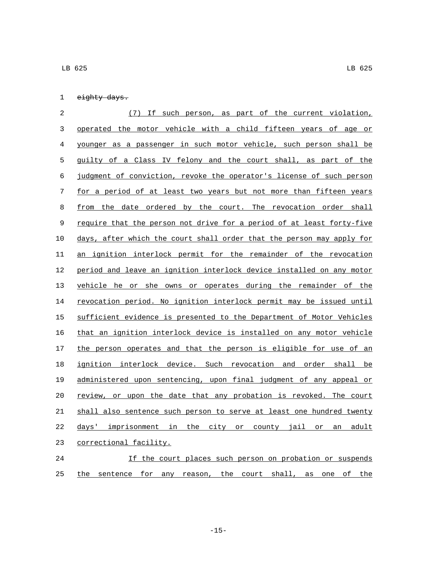| <del>eighty days.</del> |  |
|-------------------------|--|

 (7) If such person, as part of the current violation, operated the motor vehicle with a child fifteen years of age or younger as a passenger in such motor vehicle, such person shall be guilty of a Class IV felony and the court shall, as part of the judgment of conviction, revoke the operator's license of such person for a period of at least two years but not more than fifteen years 8 from the date ordered by the court. The revocation order shall require that the person not drive for a period of at least forty-five days, after which the court shall order that the person may apply for an ignition interlock permit for the remainder of the revocation period and leave an ignition interlock device installed on any motor vehicle he or she owns or operates during the remainder of the revocation period. No ignition interlock permit may be issued until sufficient evidence is presented to the Department of Motor Vehicles that an ignition interlock device is installed on any motor vehicle 17 the person operates and that the person is eligible for use of an ignition interlock device. Such revocation and order shall be administered upon sentencing, upon final judgment of any appeal or review, or upon the date that any probation is revoked. The court shall also sentence such person to serve at least one hundred twenty days' imprisonment in the city or county jail or an adult 23 correctional facility. If the court places such person on probation or suspends

the sentence for any reason, the court shall, as one of the

-15-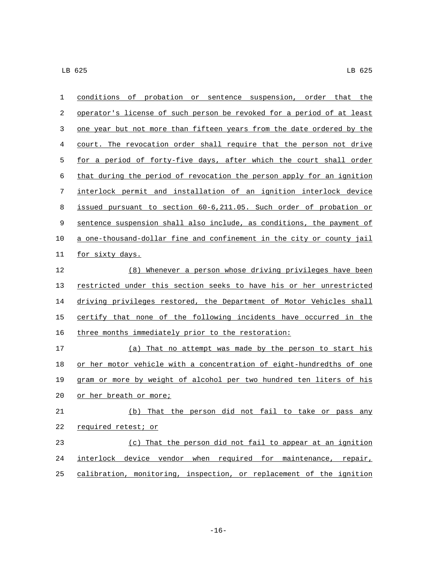| 1  | conditions of probation or sentence suspension, order that the        |
|----|-----------------------------------------------------------------------|
| 2  | operator's license of such person be revoked for a period of at least |
| 3  | one year but not more than fifteen years from the date ordered by the |
| 4  | court. The revocation order shall require that the person not drive   |
| 5  | for a period of forty-five days, after which the court shall order    |
| 6  | that during the period of revocation the person apply for an ignition |
| 7  | interlock permit and installation of an ignition interlock device     |
| 8  | issued pursuant to section 60-6,211.05. Such order of probation or    |
| 9  | sentence suspension shall also include, as conditions, the payment of |
| 10 | a one-thousand-dollar fine and confinement in the city or county jail |
| 11 | for sixty days.                                                       |
| 12 | (8) Whenever a person whose driving privileges have been              |
| 13 | restricted under this section seeks to have his or her unrestricted   |
| 14 | driving privileges restored, the Department of Motor Vehicles shall   |
| 15 | certify that none of the following incidents have occurred in the     |
| 16 | three months immediately prior to the restoration:                    |
| 17 | (a) That no attempt was made by the person to start his               |
| 18 | or her motor vehicle with a concentration of eight-hundredths of one  |
| 19 | gram or more by weight of alcohol per two hundred ten liters of his   |
| 20 | or her breath or more;                                                |
| 21 | (b) That the person did not fail to take or pass any                  |
| 22 | required retest; or                                                   |
| 23 | (c) That the person did not fail to appear at an ignition             |
| 24 | interlock device vendor when required for maintenance, repair,        |
| 25 | calibration, monitoring, inspection, or replacement of the ignition   |
|    |                                                                       |

-16-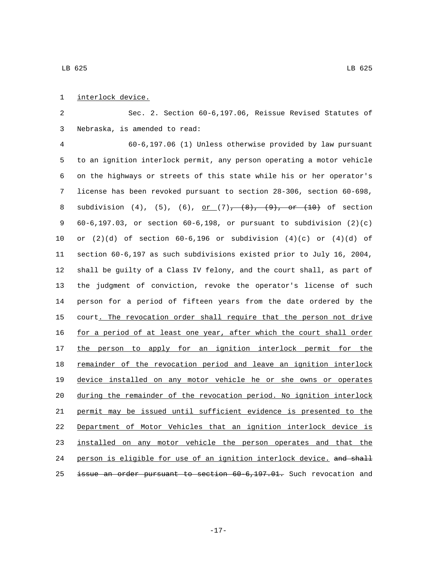## 1 interlock device.

 Sec. 2. Section 60-6,197.06, Reissue Revised Statutes of Nebraska, is amended to read:3

 60-6,197.06 (1) Unless otherwise provided by law pursuant to an ignition interlock permit, any person operating a motor vehicle on the highways or streets of this state while his or her operator's license has been revoked pursuant to section 28-306, section 60-698, 8 subdivision (4), (5), (6), <u>or (7),  $(8)$ ,  $(9)$ , or (10)</u> of section 60-6,197.03, or section 60-6,198, or pursuant to subdivision (2)(c) 10 or  $(2)(d)$  of section 60-6,196 or subdivision  $(4)(c)$  or  $(4)(d)$  of section 60-6,197 as such subdivisions existed prior to July 16, 2004, shall be guilty of a Class IV felony, and the court shall, as part of the judgment of conviction, revoke the operator's license of such person for a period of fifteen years from the date ordered by the 15 court. The revocation order shall require that the person not drive for a period of at least one year, after which the court shall order 17 the person to apply for an ignition interlock permit for the remainder of the revocation period and leave an ignition interlock device installed on any motor vehicle he or she owns or operates during the remainder of the revocation period. No ignition interlock permit may be issued until sufficient evidence is presented to the Department of Motor Vehicles that an ignition interlock device is installed on any motor vehicle the person operates and that the person is eligible for use of an ignition interlock device. and shall 25 issue an order pursuant to section 60-6,197.01. Such revocation and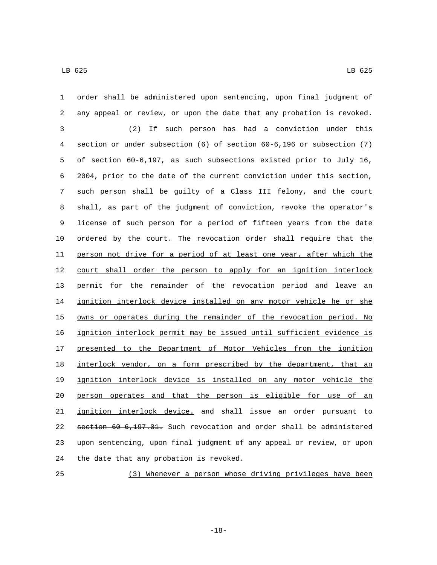order shall be administered upon sentencing, upon final judgment of any appeal or review, or upon the date that any probation is revoked. (2) If such person has had a conviction under this section or under subsection (6) of section 60-6,196 or subsection (7) of section 60-6,197, as such subsections existed prior to July 16, 2004, prior to the date of the current conviction under this section, such person shall be guilty of a Class III felony, and the court shall, as part of the judgment of conviction, revoke the operator's license of such person for a period of fifteen years from the date ordered by the court. The revocation order shall require that the person not drive for a period of at least one year, after which the court shall order the person to apply for an ignition interlock permit for the remainder of the revocation period and leave an ignition interlock device installed on any motor vehicle he or she 15 owns or operates during the remainder of the revocation period. No ignition interlock permit may be issued until sufficient evidence is presented to the Department of Motor Vehicles from the ignition interlock vendor, on a form prescribed by the department, that an ignition interlock device is installed on any motor vehicle the person operates and that the person is eligible for use of an ignition interlock device. and shall issue an order pursuant to section 60-6,197.01. Such revocation and order shall be administered upon sentencing, upon final judgment of any appeal or review, or upon 24 the date that any probation is revoked.

(3) Whenever a person whose driving privileges have been

-18-